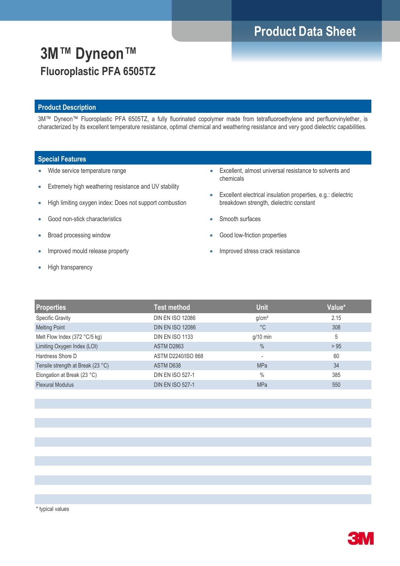# **Product Data Sheet**

# **3M™ Dyneon™ Fluoroplastic PFA 6505TZ**

### **Product Description**

3M™ Dyneon™ Fluoroplastic PFA 6505TZ, a fully fluorinated copolymer made from tetrafluoroethylene and perfluorvinylether, is characterized by its excellent temperature resistance, optimal chemical and weathering resistance and very good dielectric capabilities.

### **Special Features**

- Wide service temperature range
- Extremely high weathering resistance and UV stability
- High limiting oxygen index: Does not support combustion
- Good non-stick characteristics
- Broad processing window
- Improved mould release property
- High transparency
- Excellent, almost universal resistance to solvents and chemicals
- Excellent electrical insulation properties, e.g.: dielectric breakdown strength, dielectric constant
- Smooth surfaces
- Good low-friction properties
- Improved stress crack resistance

| <b>Test method</b>      | <b>Unit</b>              | Value* |
|-------------------------|--------------------------|--------|
| <b>DIN EN ISO 12086</b> | g/cm <sup>3</sup>        | 2.15   |
| <b>DIN EN ISO 12086</b> | $^{\circ}$ C             | 308    |
| <b>DIN EN ISO 1133</b>  | $g/10$ min               | 5      |
| ASTM D2863              | $\frac{0}{0}$            | > 95   |
| ASTM D2240/ISO 868      | $\overline{\phantom{a}}$ | 60     |
| ASTM D638               | <b>MPa</b>               | 34     |
| <b>DIN EN ISO 527-1</b> | $\%$                     | 385    |
| <b>DIN EN ISO 527-1</b> | <b>MPa</b>               | 550    |
|                         |                          |        |

\* typical values

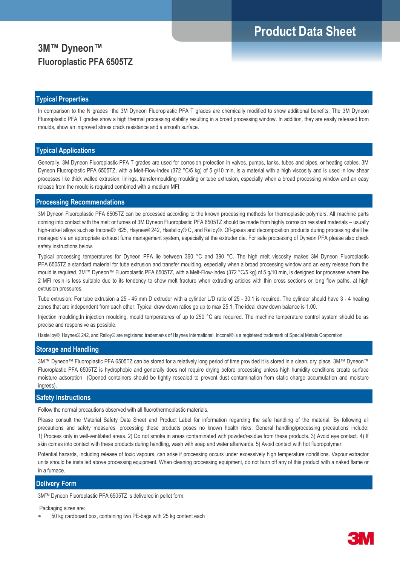## **Product Data Sheet**

## **3M™ Dyneon™ Fluoroplastic PFA 6505TZ**

#### **Typical Properties**

In comparison to the N grades the 3M Dyneon Fluoroplastic PFA T grades are chemically modified to show additional benefits: The 3M Dyneon Fluoroplastic PFA T grades show a high thermal processing stability resulting in a broad processing window. In addition, they are easily released from moulds, show an improved stress crack resistance and a smooth surface.

### **Typical Applications**

Generally, 3M Dyneon Fluoroplastic PFA T grades are used for corrosion protection in valves, pumps, tanks, tubes and pipes, or heating cables. 3M Dyneon Fluoroplastic PFA 6505TZ, with a Melt-Flow-Index (372 °C/5 kg) of 5 g/10 min, is a material with a high viscosity and is used in low shear processes like thick walled extrusion, linings, transfermoulding moulding or tube extrusion, especially when a broad processing window and an easy release from the mould is required combined with a medium MFI.

#### **Processing Recommendations**

3M Dyneon Fluoroplastic PFA 6505TZ can be processed according to the known processing methods for thermoplastic polymers. All machine parts coming into contact with the melt or fumes of 3M Dyneon Fluoroplastic PFA 6505TZ should be made from highly corrosion resistant materials – usually high-nickel alloys such as Inconel® 625, Haynes® 242, Hastelloy® C, and Reiloy®. Off-gases and decomposition products during processing shall be managed via an appropriate exhaust fume management system, especially at the extruder die. For safe processing of Dyneon PFA please also check safety instructions below.

Typical processing temperatures for Dyneon PFA lie between 360 °C and 390 °C. The high melt viscosity makes 3M Dyneon Fluoroplastic PFA 6505TZ a standard material for tube extrusion and transfer moulding, especially when a broad processing window and an easy release from the mould is required. 3M™ Dyneon™ Fluoroplastic PFA 6505TZ, with a Melt-Flow-Index (372 °C/5 kg) of 5 g/10 min, is designed for processes where the 2 MFI resin is less suitable due to its tendency to show melt fracture when extruding articles with thin cross sections or long flow paths, at high extrusion pressures.

Tube extrusion: For tube extrusion a 25 - 45 mm D extruder with a cylinder L/D ratio of 25 - 30:1 is required. The cylinder should have 3 - 4 heating zones that are independent from each other. Typical draw down ratios go up to max 25:1. The ideal draw down balance is 1.00.

Injection moulding:In injection moulding, mould temperatures of up to 250 °C are required. The machine temperature control system should be as precise and responsive as possible.

Hastelloy®, Haynes® 242, and Reiloy® are registered trademarks of Haynes International. Inconel® is a registered trademark of Special Metals Corporation.

### **Storage and Handling**

3M™ Dyneon™ Fluoroplastic PFA 6505TZ can be stored for a relatively long period of time provided it is stored in a clean, dry place. 3M™ Dyneon™ Fluoroplastic PFA 6505TZ is hydrophobic and generally does not require drying before processing unless high humidity conditions create surface moisture adsorption (Opened containers should be tightly resealed to prevent dust contamination from static charge accumulation and moisture ingress).

### **Safety Instructions**

Follow the normal precautions observed with all fluorothermoplastic materials.

Please consult the Material Safety Data Sheet and Product Label for information regarding the safe handling of the material. By following all precautions and safety measures, processing these products poses no known health risks. General handling/processing precautions include: 1) Process only in well-ventilated areas. 2) Do not smoke in areas contaminated with powder/residue from these products. 3) Avoid eye contact. 4) If skin comes into contact with these products during handling, wash with soap and water afterwards. 5) Avoid contact with hot fluoropolymer.

Potential hazards, including release of toxic vapours, can arise if processing occurs under excessively high temperature conditions. Vapour extractor units should be installed above processing equipment. When cleaning processing equipment, do not burn off any of this product with a naked flame or in a furnace.

### **Delivery Form**

3MTM Dyneon Fluoroplastic PFA 6505TZ is delivered in pellet form.

Packaging sizes are:

50 kg cardboard box, containing two PE-bags with 25 kg content each